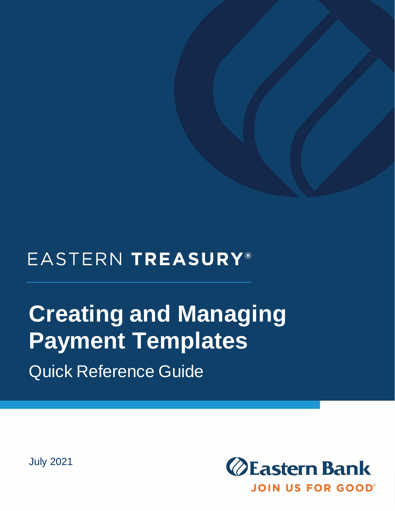## EASTERN TREASURY®

# **Creating and Managing Payment Templates** Quick Reference Guide



July 2021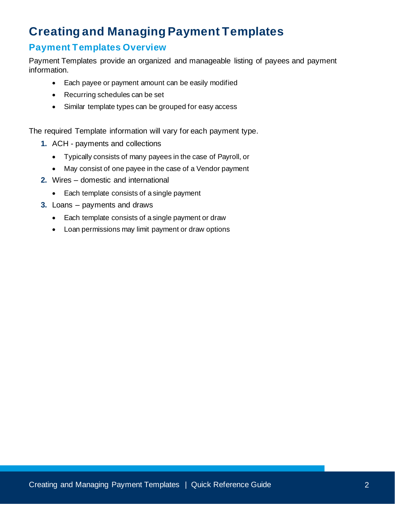## **Creating and Managing Payment Templates**

## **Payment Templates Overview**

Payment Templates provide an organized and manageable listing of payees and payment information.

- Each payee or payment amount can be easily modified
- Recurring schedules can be set
- Similar template types can be grouped for easy access

The required Template information will vary for each payment type.

- **1.** ACH payments and collections
	- Typically consists of many payees in the case of Payroll, or
	- May consist of one payee in the case of a Vendor payment
- **2.** Wires domestic and international
	- Each template consists of a single payment
- **3.** Loans payments and draws
	- Each template consists of a single payment or draw
	- Loan permissions may limit payment or draw options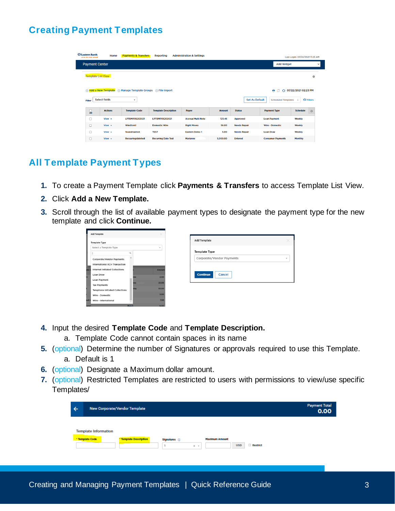## **Creating Payment Templates**

| <b>Eastern Bank</b><br>JOIN US FOR GOOD |                      | Last LogIn: 07/22/2021 11:23 AM            |                             |                           |               |                       |                            |                       |
|-----------------------------------------|----------------------|--------------------------------------------|-----------------------------|---------------------------|---------------|-----------------------|----------------------------|-----------------------|
| <b>Payment Center</b>                   |                      |                                            |                             |                           |               |                       | <b>Add Widget</b>          | $\checkmark$          |
| <b>Template List View</b>               |                      |                                            |                             |                           |               |                       |                            | ₩                     |
|                                         | Add a New Template   | (+) Manage Template Groups (+) File Import |                             |                           |               |                       | D.                         | → 07/22/2021 02:23 PM |
| <b>Filter</b>                           | <b>Select fields</b> | ۰                                          |                             |                           |               | <b>Set As Default</b> | <b>Scheduled Templates</b> | $\n  Q Filters\n$     |
| $\Box$                                  | <b>Actions</b>       | <b>Template Code</b>                       | <b>Template Description</b> | Payee                     | <b>Amount</b> | <b>Status</b>         | <b>Payment Type</b>        | <b>Schedule</b><br>☆  |
| $\Box$                                  | $V$ lew $\sim$       | LPTEMP05202021                             | <b>LPTEMP05202021</b>       | <b>Accrual Multi Note</b> | 123.45        | <b>Approved</b>       | <b>Loan Payment</b>        | <b>Weekly</b>         |
| $\Box$                                  | $View -$             | <b>WireDom1</b>                            | <b>Domestic Wire</b>        | <b>Right Moves</b>        | 56,00         | <b>Needs Repair</b>   | <b>Wire - Domestic</b>     | Weekly                |
| $\Box$                                  | $View -$             | <b>Iloandrawtest</b>                       | <b>TEST</b>                 | <b>Eastern Demo 1</b>     | 5.00          | <b>Needs Repair</b>   | <b>Loan Draw</b>           | Weekly                |
| $\Box$                                  | $View$ $\star$       | Recuuringdatetest                          | <b>Recurring Date Test</b>  | <b>Marlanne</b>           | 5,000.00      | <b>Entered</b>        | <b>Consumer Payments</b>   | <b>Monthly</b>        |

## **All Template Payment Types**

- **1.** To create a Payment Template click **Payments & Transfers** to access Template List View.
- **2.** Click **Add a New Template.**
- **3.** Scroll through the list of available payment types to designate the payment type for the new template and click **Continue.**

| <b>Template Type</b>                   |               |               |  |
|----------------------------------------|---------------|---------------|--|
| Select a Template Type                 |               | $\rightarrow$ |  |
|                                        | $\alpha$      |               |  |
| Corporate/Vendor Payments              | L.            |               |  |
| International ACH Transaction          |               |               |  |
| Internet Initiated Collections         |               | <b>Amount</b> |  |
| Loan Draw                              | me            | 2.00          |  |
| Loan Payment                           | ne            | 22.00         |  |
| <b>Tax Payments</b>                    |               |               |  |
| <b>Telephone Initiated Collections</b> | day           | 55.00         |  |
| Wire - Domestic                        |               | 5.00          |  |
| Wire - International                   |               | 7.50          |  |
|                                        | <b>MILLY!</b> | <b>GOO</b>    |  |

| <b>Template Type</b>                                                          |  |
|-------------------------------------------------------------------------------|--|
| <b>Add Template</b><br>Corporate/Vendor Payments<br><b>Continue</b><br>Cancel |  |
|                                                                               |  |
|                                                                               |  |
|                                                                               |  |
|                                                                               |  |

- **4.** Input the desired **Template Code** and **Template Description.**
	- a. Template Code cannot contain spaces in its name
- **5.** (optional) Determine the number of Signatures or approvals required to use this Template. a. Default is 1
- **6.** (optional) Designate a Maximum dollar amount.
- **7.** (optional) Restricted Templates are restricted to users with permissions to view/use specific Templates/

| ← |                             | New Corporate/Vendor Template |                           |                                     |          | <b>Payment Total</b><br>0.00 |
|---|-----------------------------|-------------------------------|---------------------------|-------------------------------------|----------|------------------------------|
|   | <b>Template Information</b> |                               |                           |                                     |          |                              |
|   | * Template Code             | Template Description          | Signatures (i)<br>$x - r$ | <b>Maximum Amount</b><br><b>USD</b> | Restrict |                              |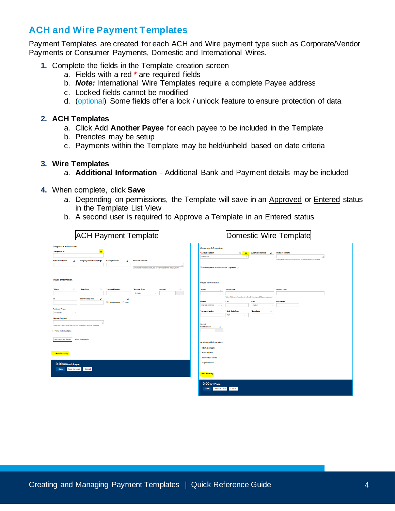## **ACH and Wire Payment Templates**

Payment Templates are created for each ACH and Wire payment type such as Corporate/Vendor Payments or Consumer Payments, Domestic and International Wires.

- **1.** Complete the fields in the Template creation screen
	- a. Fields with a red **\*** are required fields
	- b. *Note:* International Wire Templates require a complete Payee address
	- c. Locked fields cannot be modified
	- d. (optional) Some fields offer a lock / unlock feature to ensure protection of data

#### **2. ACH Templates**

- a. Click Add **Another Payee** for each payee to be included in the Template
- b. Prenotes may be setup
- c. Payments within the Template may be held/unheld based on date criteria

#### **3. Wire Templates**

- a. **Additional Information** Additional Bank and Payment details may be included
- **4.** When complete, click **Save**
	- a. Depending on permissions, the Template will save in an Approved or Entered status in the Template List View
	- b. A second user is required to Approve a Template in an Entered status

| <b>ACH Payment Template</b>                                                                                                                                                                                                                                                                                                                                                                                                                                                        | Domestic Wire Template                                                                                                                                                                                                                                                                                                                                                                                                                                                                                                                                                                              |
|------------------------------------------------------------------------------------------------------------------------------------------------------------------------------------------------------------------------------------------------------------------------------------------------------------------------------------------------------------------------------------------------------------------------------------------------------------------------------------|-----------------------------------------------------------------------------------------------------------------------------------------------------------------------------------------------------------------------------------------------------------------------------------------------------------------------------------------------------------------------------------------------------------------------------------------------------------------------------------------------------------------------------------------------------------------------------------------------------|
| <b>Originator Information</b><br>$\blacksquare$<br>* Originator ID<br><b>Batch Description</b><br><b>Company Discretionary Data</b><br><b>Internal Comments</b><br><b>Descriptive Date</b><br>÷<br>÷<br>Stored with the transaction, but not forwarded with the payment                                                                                                                                                                                                            | <b>Originator Information</b><br>* Account Number<br>$\alpha$<br><b>Customer Reference</b><br><b>Internal Comment</b><br><b>A</b><br>Æ.<br>$-5$<br>Stored with the transaction, but not forwarded with the payment<br>Ordering Party is different from Originator (                                                                                                                                                                                                                                                                                                                                 |
| <b>Payee Information</b>                                                                                                                                                                                                                                                                                                                                                                                                                                                           | <b>Payee Information</b>                                                                                                                                                                                                                                                                                                                                                                                                                                                                                                                                                                            |
| ' Name<br>* Bank Code<br>* Account Number<br>* Account Type<br>$\alpha$<br>$\alpha$<br><b>Amount</b><br>×.<br>$-Soloct$<br>ID<br><b>Discretionary Data</b><br>Æ<br>Create Prenote   Hold<br><b>Addenda Format</b><br>$-Setect$<br><b>Internal Comment</b><br>Stored with the transaction, but not forwarded with the payment<br>Payee Exclusion Dates<br><b>Add Another Payee</b><br>Clear Payee Info<br>Make Recurring<br>0.00 USD to 0 Payee<br>Cancel<br>Save<br>Save for Later | <b>Address Line 2</b><br>' Name<br>$\alpha$<br><b>Address Line 1</b><br>When Address information is entered, Country and City are expected.<br><b>Postal Code</b><br>Country<br>City<br>State<br><b>UNITED STATES</b><br>-Select-<br>$x - r$<br>$\mathbf{v}$<br>Account Number<br>* Bank Code Type<br>* Bank Code<br>$\alpha$<br><b>ABA</b><br>$\times$ $^{-}$<br>$\rightarrow$<br>Amount<br><b>Credit Amount</b><br><b>SP</b><br><b>Additional Information</b><br>Intermediary Bank<br><b>Payment Details</b><br><b>Bank-to-Bank Details</b><br><b>Originator Details</b><br><b>Make Recurring</b> |
|                                                                                                                                                                                                                                                                                                                                                                                                                                                                                    | 0.00 to 1 Payee<br>Savo for Later<br>Savo<br>Cancel                                                                                                                                                                                                                                                                                                                                                                                                                                                                                                                                                 |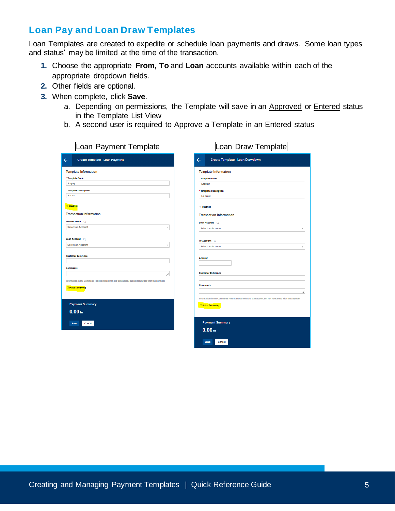## **Loan Pay and Loan Draw Templates**

Loan Templates are created to expedite or schedule loan payments and draws. Some loan types and status' may be limited at the time of the transaction.

- **1.** Choose the appropriate **From, To** and **Loan** accounts available within each of the appropriate dropdown fields.
- **2.** Other fields are optional.
- **3.** When complete, click **Save**.
	- a. Depending on permissions, the Template will save in an Approved or Entered status in the Template List View
	- b. A second user is required to Approve a Template in an Entered status

| oan Payment Template                                                                                                                                                                                            | Loan Draw Template                                                                                                                                                                      |
|-----------------------------------------------------------------------------------------------------------------------------------------------------------------------------------------------------------------|-----------------------------------------------------------------------------------------------------------------------------------------------------------------------------------------|
| <b>Create Template - Loan Payment</b><br>$\leftarrow$                                                                                                                                                           | Create Template - Loan Drawdown<br>←                                                                                                                                                    |
| <b>Template Information</b><br>* Template Code<br>Lnpay<br>* Template Description<br><b>Ln Pa</b><br><b>Restrict</b>                                                                                            | <b>Template Information</b><br>* Template Code<br>Lndraw<br>* Template Description<br>Ln draw<br>Restrict                                                                               |
| <b>Transaction Information</b><br>From Account Q<br><b>Select an Account</b><br>$\pi$<br>Loan Account (<br>Select an Account<br>$\pi$                                                                           | <b>Transaction Information</b><br>Loan Account (<br><b>Select an Account</b><br>$\alpha$<br>To Account 2<br><b>Select an Account</b>                                                    |
| <b>Customer Reference</b><br><b>Commonts</b><br>Information in the Comments Field is stored with the transaction, but not forwarded with the payment<br>Make Recurring<br><b>Payment Summary</b><br>$0.00_{to}$ | <b>Amount</b><br><b>Customer Reference</b><br><b>Comments</b><br>Information in the Comments Field is stored with the transaction, but not forwarded with the payment<br>Make Recurring |
| Save<br>Cancel                                                                                                                                                                                                  | <b>Payment Summary</b><br>$0.00_{to}$<br>Save Cancel                                                                                                                                    |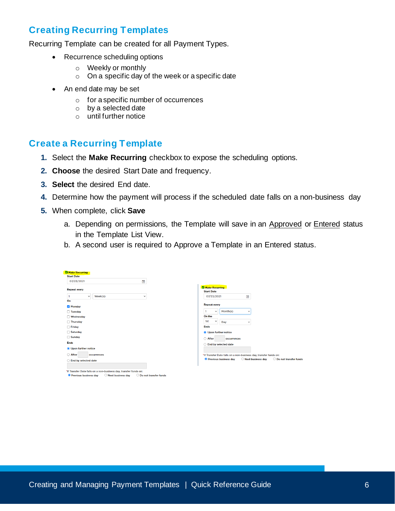## **Creating Recurring Templates**

Recurring Template can be created for all Payment Types.

- Recurrence scheduling options
	- o Weekly or monthly
	- o On a specific day of the week or a specific date
- An end date may be set
	- o for a specific number of occurrences
	- o by a selected date
	- o until further notice

#### **Create a Recurring Template**

- **1.** Select the **Make Recurring** checkbox to expose the scheduling options.
- **2. Choose** the desired Start Date and frequency.
- **3. Select** the desired End date.
- **4.** Determine how the payment will process if the scheduled date falls on a non-business day
- **5.** When complete, click **Save**
	- a. Depending on permissions, the Template will save in an Approved or Entered status in the Template List View.
	- b. A second user is required to Approve a Template in an Entered status.

| Make Recurring                                                                 |                                                                                           |
|--------------------------------------------------------------------------------|-------------------------------------------------------------------------------------------|
| <b>Start Date</b>                                                              |                                                                                           |
| 07/23/2021<br>菌                                                                |                                                                                           |
| <b>Repeat every</b>                                                            | Make Recurring<br><b>Start Date</b>                                                       |
| Week(s)<br>-1<br>$\checkmark$<br>$\checkmark$                                  | 07/23/2021<br>面                                                                           |
| On                                                                             |                                                                                           |
| Monday                                                                         | <b>Repeat every</b>                                                                       |
| □ Tuesday                                                                      | Month(s)<br>$\checkmark$<br>$\checkmark$                                                  |
| Wednesday                                                                      | On the                                                                                    |
| □ Thursday                                                                     | 1st<br>$\checkmark$<br>Day<br>$\checkmark$                                                |
| $\Box$ Friday                                                                  | <b>Ends</b>                                                                               |
| $\Box$ Saturday                                                                | <b>O</b> Upon further notice                                                              |
| □ Sunday                                                                       | ○ After<br>occurrences                                                                    |
| <b>Ends</b>                                                                    | ◯ End by selected date                                                                    |
| <b>O</b> Upon further notice                                                   |                                                                                           |
| ◯ After<br>occurrences                                                         | "If Transfer Date falls on a non-business day, transfer funds on:                         |
| ◯ End by selected date                                                         | $\bigcirc$ Next business day<br><b>O</b> Previous business day<br>O Do not transfer funds |
|                                                                                |                                                                                           |
| *If Transfer Date falls on a non-business day, transfer funds on:              |                                                                                           |
| <b>O</b> Previous business day<br>Rext business day<br>O Do not transfer funds |                                                                                           |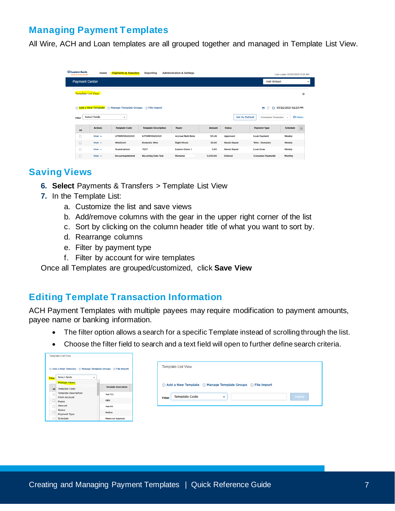## **Managing Payment Templates**

All Wire, ACH and Loan templates are all grouped together and managed in Template List View.

| <b>ØEastern Bank</b>  | <b>Payments &amp; Transfers</b><br>Home<br>Reporting<br><b>Administration &amp; Settings</b><br>JOIN US FOR GOOD                                                                                                |                      |                             |                           |               |                     |                          |                      |  |  |
|-----------------------|-----------------------------------------------------------------------------------------------------------------------------------------------------------------------------------------------------------------|----------------------|-----------------------------|---------------------------|---------------|---------------------|--------------------------|----------------------|--|--|
| <b>Payment Center</b> |                                                                                                                                                                                                                 |                      |                             |                           |               |                     | <b>Add Widget</b>        | $\checkmark$         |  |  |
|                       | <b>Template List View</b><br>₩                                                                                                                                                                                  |                      |                             |                           |               |                     |                          |                      |  |  |
| <b>Filter</b>         | Add a New Template<br>(+) Manage Template Groups (+) File Import<br>→ 07/22/2021 02:23 PM<br>۰<br>D.<br><b>Select fields</b><br>$\emptyset$ Filters<br><b>Set As Default</b><br><b>Scheduled Templates</b><br>۰ |                      |                             |                           |               |                     |                          |                      |  |  |
| $\Box$                | <b>Actions</b>                                                                                                                                                                                                  | <b>Template Code</b> | <b>Template Description</b> | Payee                     | <b>Amount</b> | <b>Status</b>       | <b>Payment Type</b>      | <b>Schedule</b><br>☆ |  |  |
| o                     | $View -$                                                                                                                                                                                                        | LPTEMP05202021       | <b>LPTEMP05202021</b>       | <b>Accrual Multi Note</b> | 123.45        | Approved            | <b>Loan Payment</b>      | <b>Weekly</b>        |  |  |
| $\Box$                | $View$ $\rightarrow$                                                                                                                                                                                            | <b>WireDom1</b>      | <b>Domestic Wire</b>        | <b>Right Moves</b>        | 56,00         | <b>Needs Repair</b> | <b>Wire - Domestic</b>   | Weekly               |  |  |
| $\Box$                | $View$ $\star$                                                                                                                                                                                                  | <b>Iloandrawtest</b> | <b>TEST</b>                 | <b>Eastern Demo 1</b>     | 5.00          | <b>Needs Repair</b> | <b>Loan Draw</b>         | Weekly               |  |  |
| $\Box$                | $View -$                                                                                                                                                                                                        | Recuuringdatetest    | <b>Recurring Date Test</b>  | Marlanne                  | 5,000.00      | <b>Entered</b>      | <b>Consumer Payments</b> | <b>Monthly</b>       |  |  |

### **Saving Views**

- **6. Select** Payments & Transfers > Template List View
- **7.** In the Template List:
	- a. Customize the list and save views
	- b. Add/remove columns with the gear in the upper right corner of the list
	- c. Sort by clicking on the column header title of what you want to sort by.
	- d. Rearrange columns
	- e. Filter by payment type
	- f. Filter by account for wire templates

Once all Templates are grouped/customized, click **Save View**

#### **Editing Template Transaction Information**

ACH Payment Templates with multiple payees may require modification to payment amounts, payee name or banking information.

- The filter option allows a search for a specific Template instead of scrolling through the list.
- Choose the filter field to search and a text field will open to further define search criteria.

|                | <b>Template List View</b>                                     |                             |                                                                                  |
|----------------|---------------------------------------------------------------|-----------------------------|----------------------------------------------------------------------------------|
|                | ⊕ Add a New Template + Manage Template Groups + + File Import |                             | <b>Template List View</b>                                                        |
| <b>Filter</b>  | <b>Select fields</b><br>$\tilde{\phantom{a}}$                 |                             |                                                                                  |
|                | <b>Manage Filters</b>                                         |                             | $\oplus$ Add a New Template $\oplus$ Manage Template Groups $\oplus$ File Import |
| $\overline{a}$ | <b>Template Code</b>                                          | <b>Template Description</b> |                                                                                  |
| $\Box$         | <b>Template Description</b>                                   | <b>Test 722</b>             |                                                                                  |
|                | From Account                                                  |                             | Apply<br><b>Template Code</b><br>$\check{}$<br><b>Filter</b>                     |
| $\Box$         | Payee                                                         | QRG                         |                                                                                  |
| $\Box$         | Amount                                                        | <b>Test MS</b>              |                                                                                  |
| $\Box$         | <b>Status</b>                                                 | fredtax                     |                                                                                  |
|                | Payment Type                                                  |                             |                                                                                  |
| o              | Schodulo                                                      | Mixed not halanced          |                                                                                  |